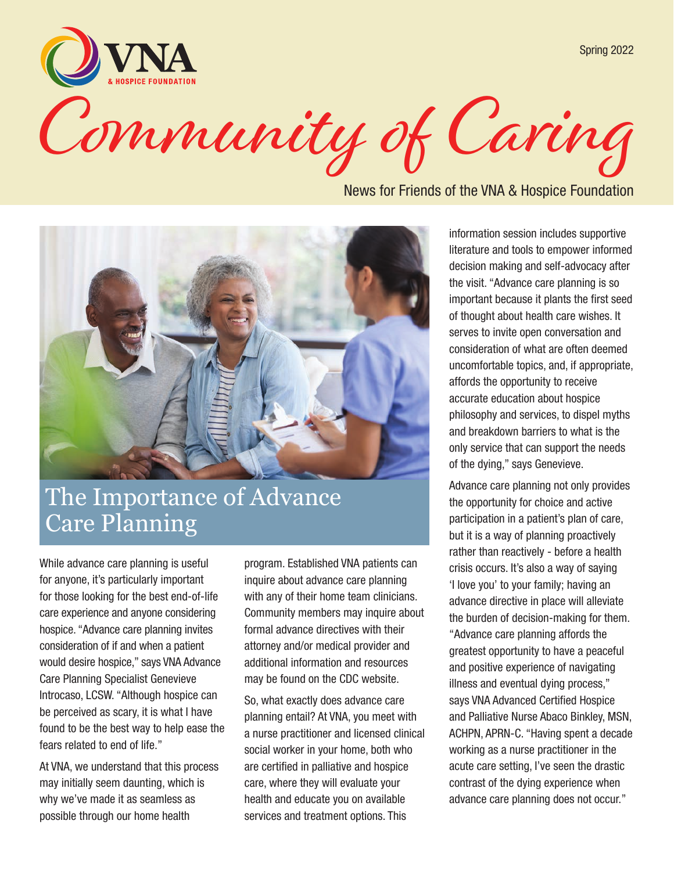Spring 2022

Community of Caring

News for Friends of the VNA & Hospice Foundation



### The Importance of Advance Care Planning

While advance care planning is useful for anyone, it's particularly important for those looking for the best end-of-life care experience and anyone considering hospice. "Advance care planning invites consideration of if and when a patient would desire hospice," says VNA Advance Care Planning Specialist Genevieve Introcaso, LCSW. "Although hospice can be perceived as scary, it is what I have found to be the best way to help ease the fears related to end of life."

At VNA, we understand that this process may initially seem daunting, which is why we've made it as seamless as possible through our home health

program. Established VNA patients can inquire about advance care planning with any of their home team clinicians. Community members may inquire about formal advance directives with their attorney and/or medical provider and additional information and resources may be found on the CDC website.

So, what exactly does advance care planning entail? At VNA, you meet with a nurse practitioner and licensed clinical social worker in your home, both who are certified in palliative and hospice care, where they will evaluate your health and educate you on available services and treatment options. This

information session includes supportive literature and tools to empower informed decision making and self-advocacy after the visit. "Advance care planning is so important because it plants the first seed of thought about health care wishes. It serves to invite open conversation and consideration of what are often deemed uncomfortable topics, and, if appropriate, affords the opportunity to receive accurate education about hospice philosophy and services, to dispel myths and breakdown barriers to what is the only service that can support the needs of the dying," says Genevieve.

Advance care planning not only provides the opportunity for choice and active participation in a patient's plan of care, but it is a way of planning proactively rather than reactively - before a health crisis occurs. It's also a way of saying 'I love you' to your family; having an advance directive in place will alleviate the burden of decision-making for them. "Advance care planning affords the greatest opportunity to have a peaceful and positive experience of navigating illness and eventual dying process," says VNA Advanced Certified Hospice and Palliative Nurse Abaco Binkley, MSN, ACHPN, APRN-C. "Having spent a decade working as a nurse practitioner in the acute care setting, I've seen the drastic contrast of the dying experience when advance care planning does not occur."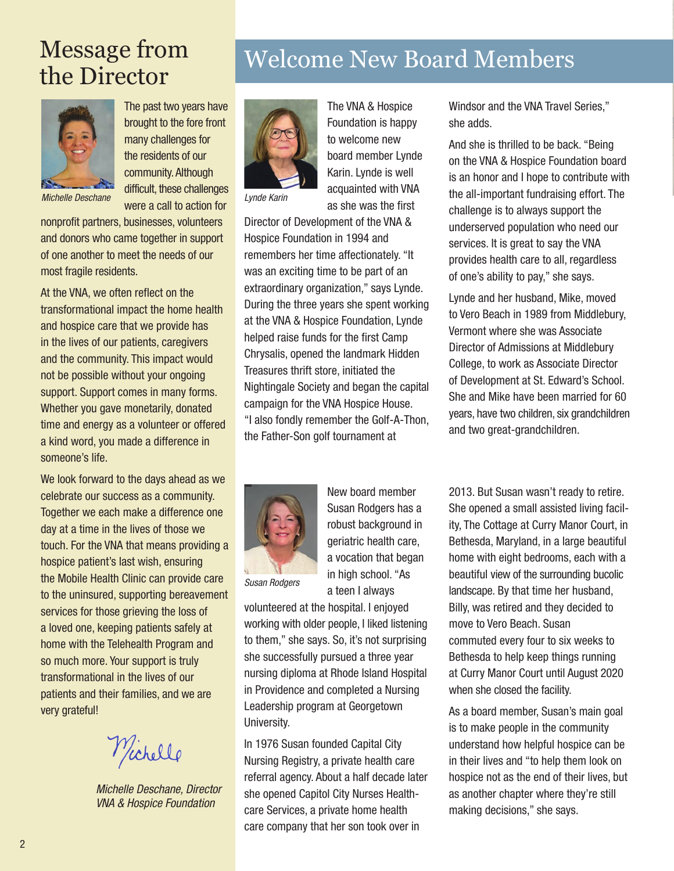

The past two years have brought to the fore front many challenges for the residents of our community. Although difficult, these challenges were a call to action for *Michelle Deschane Lynde Karin*

nonprofit partners, businesses, volunteers and donors who came together in support of one another to meet the needs of our most fragile residents.

At the VNA, we often reflect on the transformational impact the home health and hospice care that we provide has in the lives of our patients, caregivers and the community. This impact would not be possible without your ongoing support. Support comes in many forms. Whether you gave monetarily, donated time and energy as a volunteer or offered a kind word, you made a difference in someone's life.

We look forward to the days ahead as we celebrate our success as a community. Together we each make a difference one day at a time in the lives of those we touch. For the VNA that means providing a hospice patient's last wish, ensuring the Mobile Health Clinic can provide care to the uninsured, supporting bereavement services for those grieving the loss of a loved one, keeping patients safely at home with the Telehealth Program and so much more. Your support is truly transformational in the lives of our patients and their families, and we are very grateful!

Wichelle

*Michelle Deschane, Director VNA & Hospice Foundation*

# Message from Welcome New Board Members<br>the Director



The VNA & Hospice Foundation is happy to welcome new board member Lynde Karin. Lynde is well acquainted with VNA as she was the first

Director of Development of the VNA & Hospice Foundation in 1994 and remembers her time affectionately. "It was an exciting time to be part of an extraordinary organization," says Lynde. During the three years she spent working at the VNA & Hospice Foundation, Lynde helped raise funds for the first Camp Chrysalis, opened the landmark Hidden Treasures thrift store, initiated the Nightingale Society and began the capital campaign for the VNA Hospice House. "I also fondly remember the Golf-A-Thon, the Father-Son golf tournament at



New board member Susan Rodgers has a robust background in geriatric health care, a vocation that began in high school. "As a teen I always

*Susan Rodgers*

volunteered at the hospital. I enjoyed working with older people, I liked listening to them," she says. So, it's not surprising she successfully pursued a three year nursing diploma at Rhode Island Hospital in Providence and completed a Nursing Leadership program at Georgetown University.

In 1976 Susan founded Capital City Nursing Registry, a private health care referral agency. About a half decade later she opened Capitol City Nurses Healthcare Services, a private home health care company that her son took over in

Windsor and the VNA Travel Series," she adds.

And she is thrilled to be back. "Being on the VNA & Hospice Foundation board is an honor and I hope to contribute with the all-important fundraising effort. The challenge is to always support the underserved population who need our services. It is great to say the VNA provides health care to all, regardless of one's ability to pay," she says.

Lynde and her husband, Mike, moved to Vero Beach in 1989 from Middlebury, Vermont where she was Associate Director of Admissions at Middlebury College, to work as Associate Director of Development at St. Edward's School. She and Mike have been married for 60 years, have two children, six grandchildren and two great-grandchildren.

2013. But Susan wasn't ready to retire. She opened a small assisted living facility, The Cottage at Curry Manor Court, in Bethesda, Maryland, in a large beautiful home with eight bedrooms, each with a beautiful view of the surrounding bucolic landscape. By that time her husband, Billy, was retired and they decided to move to Vero Beach. Susan commuted every four to six weeks to Bethesda to help keep things running at Curry Manor Court until August 2020 when she closed the facility.

As a board member, Susan's main goal is to make people in the community understand how helpful hospice can be in their lives and "to help them look on hospice not as the end of their lives, but as another chapter where they're still making decisions," she says.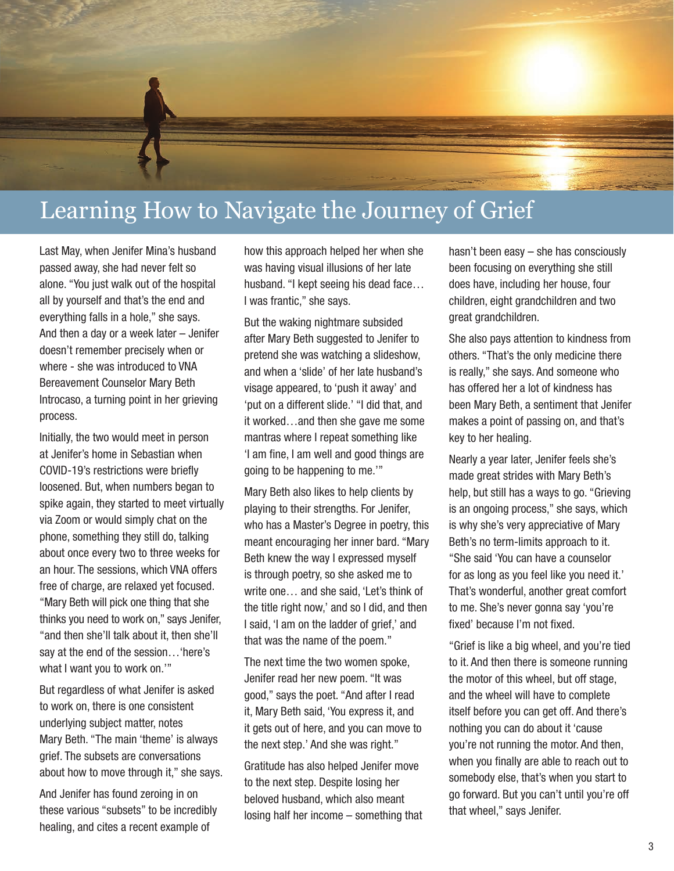

### Learning How to Navigate the Journey of Grief

Last May, when Jenifer Mina's husband passed away, she had never felt so alone. "You just walk out of the hospital all by yourself and that's the end and everything falls in a hole," she says. And then a day or a week later – Jenifer doesn't remember precisely when or where - she was introduced to VNA Bereavement Counselor Mary Beth Introcaso, a turning point in her grieving process.

Initially, the two would meet in person at Jenifer's home in Sebastian when COVID-19's restrictions were briefly loosened. But, when numbers began to spike again, they started to meet virtually via Zoom or would simply chat on the phone, something they still do, talking about once every two to three weeks for an hour. The sessions, which VNA offers free of charge, are relaxed yet focused. "Mary Beth will pick one thing that she thinks you need to work on," says Jenifer, "and then she'll talk about it, then she'll say at the end of the session…'here's what I want you to work on.'"

But regardless of what Jenifer is asked to work on, there is one consistent underlying subject matter, notes Mary Beth. "The main 'theme' is always grief. The subsets are conversations about how to move through it," she says.

And Jenifer has found zeroing in on these various "subsets" to be incredibly healing, and cites a recent example of

how this approach helped her when she was having visual illusions of her late husband. "I kept seeing his dead face… I was frantic," she says.

But the waking nightmare subsided after Mary Beth suggested to Jenifer to pretend she was watching a slideshow, and when a 'slide' of her late husband's visage appeared, to 'push it away' and 'put on a different slide.' "I did that, and it worked…and then she gave me some mantras where I repeat something like 'I am fine, I am well and good things are going to be happening to me.'"

Mary Beth also likes to help clients by playing to their strengths. For Jenifer, who has a Master's Degree in poetry, this meant encouraging her inner bard. "Mary Beth knew the way I expressed myself is through poetry, so she asked me to write one… and she said, 'Let's think of the title right now,' and so I did, and then I said, 'I am on the ladder of grief,' and that was the name of the poem."

The next time the two women spoke, Jenifer read her new poem. "It was good," says the poet. "And after I read it, Mary Beth said, 'You express it, and it gets out of here, and you can move to the next step.' And she was right."

Gratitude has also helped Jenifer move to the next step. Despite losing her beloved husband, which also meant losing half her income – something that hasn't been easy – she has consciously been focusing on everything she still does have, including her house, four children, eight grandchildren and two great grandchildren.

She also pays attention to kindness from others. "That's the only medicine there is really," she says. And someone who has offered her a lot of kindness has been Mary Beth, a sentiment that Jenifer makes a point of passing on, and that's key to her healing.

Nearly a year later, Jenifer feels she's made great strides with Mary Beth's help, but still has a ways to go. "Grieving is an ongoing process," she says, which is why she's very appreciative of Mary Beth's no term-limits approach to it. "She said 'You can have a counselor for as long as you feel like you need it.' That's wonderful, another great comfort to me. She's never gonna say 'you're fixed' because I'm not fixed.

"Grief is like a big wheel, and you're tied to it. And then there is someone running the motor of this wheel, but off stage, and the wheel will have to complete itself before you can get off. And there's nothing you can do about it 'cause you're not running the motor. And then, when you finally are able to reach out to somebody else, that's when you start to go forward. But you can't until you're off that wheel," says Jenifer.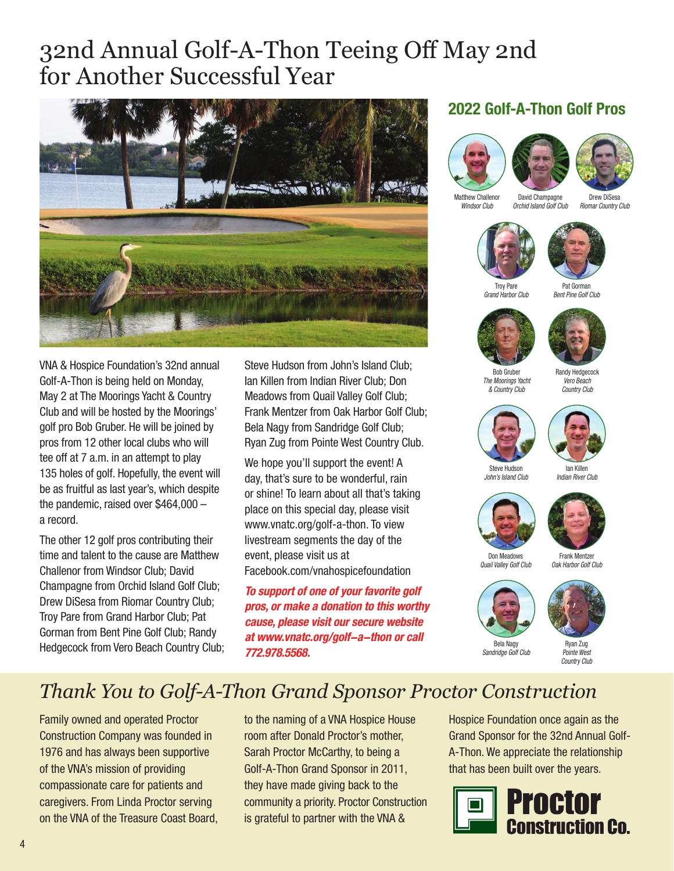### 32nd Annual Golf-A-Thon Teeing Off May 2nd for Another Successful Year



VNA & Hospice Foundation's 32nd annual Golf-A-Thon is being held on Monday, May 2 at The Moorings Yacht & Country Club and will be hosted by the Moorings' golf pro Bob Gruber. He will be joined by pros from 12 other local clubs who will tee off at 7 a.m. in an attempt to play 135 holes of golf. Hopefully, the event will be as fruitful as last year's, which despite the pandemic, raised over \$464,000 – a record.

The other 12 golf pros contributing their time and talent to the cause are Matthew Challenor from Windsor Club; David Champagne from Orchid Island Golf Club; Drew DiSesa from Riomar Country Club; Troy Pare from Grand Harbor Club; Pat Gorman from Bent Pine Golf Club; Randy Hedgecock from Vero Beach Country Club; Steve Hudson from John's Island Club; Ian Killen from Indian River Club; Don Meadows from Quail Valley Golf Club; Frank Mentzer from Oak Harbor Golf Club; Bela Nagy from Sandridge Golf Club; Ryan Zug from Pointe West Country Club.

We hope you'll support the event! A day, that's sure to be wonderful, rain or shine! To learn about all that's taking place on this special day, please visit www.vnatc.org/golf-a-thon. To view livestream segments the day of the event, please visit us at Facebook.com/vnahospicefoundation

**To support of one of your favorite golf pros, or make a donation to this worthy cause, please visit our secure website at www.vnatc.org/golf-a-thon or call 772.978.5568.**

#### **2022 Golf-A-Thon Golf Pros**





Matthew Challenor *Windsor Club*

David Champagne *Orchid Island Golf Club*

Drew DiSesa *Riomar Country Club*





Troy Pare *Grand Harbor Club*







Bob Gruber *The Moorings Yacht & Country Club*

Randy Hedgecock *Vero Beach Country Club*





*Indian River Club*

Steve Hudson *John's Island Club*





Don Meadows *Quail Valley Golf Club*

Frank Mentzer *Oak Harbor Golf Club*





Ryan Zug *Pointe West Country Club*

### *Thank You to Golf-A-Thon Grand Sponsor Proctor Construction*

Family owned and operated Proctor Construction Company was founded in 1976 and has always been supportive of the VNA's mission of providing compassionate care for patients and caregivers. From Linda Proctor serving on the VNA of the Treasure Coast Board, to the naming of a VNA Hospice House room after Donald Proctor's mother, Sarah Proctor McCarthy, to being a Golf-A-Thon Grand Sponsor in 2011, they have made giving back to the community a priority. Proctor Construction is grateful to partner with the VNA &

Hospice Foundation once again as the Grand Sponsor for the 32nd Annual Golf-A-Thon. We appreciate the relationship that has been built over the years.

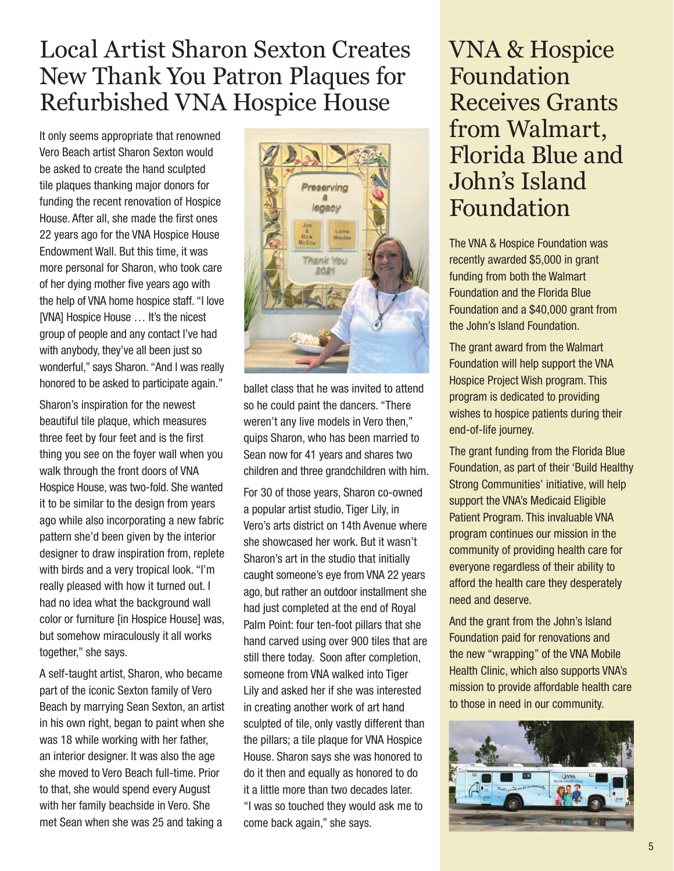### Local Artist Sharon Sexton Creates New Thank You Patron Plaques for Refurbished VNA Hospice House

It only seems appropriate that renowned Vero Beach artist Sharon Sexton would be asked to create the hand sculpted tile plaques thanking major donors for funding the recent renovation of Hospice House. After all, she made the first ones 22 years ago for the VNA Hospice House Endowment Wall. But this time, it was more personal for Sharon, who took care of her dying mother five years ago with the help of VNA home hospice staff. "I love [VNA] Hospice House … It's the nicest group of people and any contact I've had with anybody, they've all been just so wonderful," says Sharon. "And I was really honored to be asked to participate again."

Sharon's inspiration for the newest beautiful tile plaque, which measures three feet by four feet and is the first thing you see on the foyer wall when you walk through the front doors of VNA Hospice House, was two-fold. She wanted it to be similar to the design from years ago while also incorporating a new fabric pattern she'd been given by the interior designer to draw inspiration from, replete with birds and a very tropical look. "I'm really pleased with how it turned out. I had no idea what the background wall color or furniture [in Hospice House] was, but somehow miraculously it all works together," she says.

A self-taught artist, Sharon, who became part of the iconic Sexton family of Vero Beach by marrying Sean Sexton, an artist in his own right, began to paint when she was 18 while working with her father, an interior designer. It was also the age she moved to Vero Beach full-time. Prior to that, she would spend every August with her family beachside in Vero. She met Sean when she was 25 and taking a



ballet class that he was invited to attend so he could paint the dancers. "There weren't any live models in Vero then," quips Sharon, who has been married to Sean now for 41 years and shares two children and three grandchildren with him.

For 30 of those years, Sharon co-owned a popular artist studio, Tiger Lily, in Vero's arts district on 14th Avenue where she showcased her work. But it wasn't Sharon's art in the studio that initially caught someone's eye from VNA 22 years ago, but rather an outdoor installment she had just completed at the end of Royal Palm Point: four ten-foot pillars that she hand carved using over 900 tiles that are still there today. Soon after completion, someone from VNA walked into Tiger Lily and asked her if she was interested in creating another work of art hand sculpted of tile, only vastly different than the pillars; a tile plaque for VNA Hospice House. Sharon says she was honored to do it then and equally as honored to do it a little more than two decades later. "I was so touched they would ask me to come back again," she says.

### VNA & Hospice Foundation Receives Grants from Walmart, Florida Blue and John's Island Foundation

The VNA & Hospice Foundation was recently awarded \$5,000 in grant funding from both the Walmart Foundation and the Florida Blue Foundation and a \$40,000 grant from the John's Island Foundation.

The grant award from the Walmart Foundation will help support the VNA Hospice Project Wish program. This program is dedicated to providing wishes to hospice patients during their end-of-life journey.

The grant funding from the Florida Blue Foundation, as part of their 'Build Healthy Strong Communities' initiative, will help support the VNA's Medicaid Eligible Patient Program. This invaluable VNA program continues our mission in the community of providing health care for everyone regardless of their ability to afford the health care they desperately need and deserve.

And the grant from the John's Island Foundation paid for renovations and the new "wrapping" of the VNA Mobile Health Clinic, which also supports VNA's mission to provide affordable health care to those in need in our community.

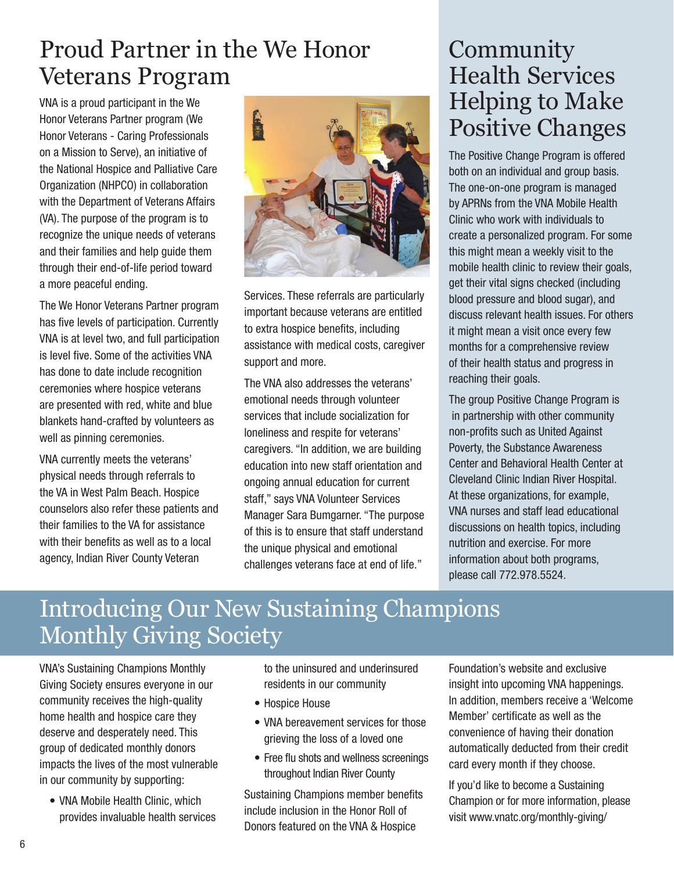### Proud Partner in the We Honor Veterans Program

VNA is a proud participant in the We Honor Veterans Partner program (We Honor Veterans - Caring Professionals on a Mission to Serve), an initiative of the National Hospice and Palliative Care Organization (NHPCO) in collaboration with the Department of Veterans Affairs (VA). The purpose of the program is to recognize the unique needs of veterans and their families and help guide them through their end-of-life period toward a more peaceful ending.

The We Honor Veterans Partner program has five levels of participation. Currently VNA is at level two, and full participation is level five. Some of the activities VNA has done to date include recognition ceremonies where hospice veterans are presented with red, white and blue blankets hand-crafted by volunteers as well as pinning ceremonies.

VNA currently meets the veterans' physical needs through referrals to the VA in West Palm Beach. Hospice counselors also refer these patients and their families to the VA for assistance with their benefits as well as to a local agency, Indian River County Veteran



Services. These referrals are particularly important because veterans are entitled to extra hospice benefits, including assistance with medical costs, caregiver support and more.

The VNA also addresses the veterans' emotional needs through volunteer services that include socialization for loneliness and respite for veterans' caregivers. "In addition, we are building education into new staff orientation and ongoing annual education for current staff," says VNA Volunteer Services Manager Sara Bumgarner. "The purpose of this is to ensure that staff understand the unique physical and emotional challenges veterans face at end of life."

### Community Health Services Helping to Make Positive Changes

The Positive Change Program is offered both on an individual and group basis. The one-on-one program is managed by APRNs from the VNA Mobile Health Clinic who work with individuals to create a personalized program. For some this might mean a weekly visit to the mobile health clinic to review their goals, get their vital signs checked (including blood pressure and blood sugar), and discuss relevant health issues. For others it might mean a visit once every few months for a comprehensive review of their health status and progress in reaching their goals.

The group Positive Change Program is in partnership with other community non-profits such as United Against Poverty, the Substance Awareness Center and Behavioral Health Center at Cleveland Clinic Indian River Hospital. At these organizations, for example, VNA nurses and staff lead educational discussions on health topics, including nutrition and exercise. For more information about both programs, please call 772.978.5524.

### Introducing Our New Sustaining Champions Monthly Giving Society

VNA's Sustaining Champions Monthly Giving Society ensures everyone in our community receives the high-quality home health and hospice care they deserve and desperately need. This group of dedicated monthly donors impacts the lives of the most vulnerable in our community by supporting:

• VNA Mobile Health Clinic, which provides invaluable health services to the uninsured and underinsured residents in our community

- Hospice House
- VNA bereavement services for those grieving the loss of a loved one
- Free flu shots and wellness screenings throughout Indian River County

Sustaining Champions member benefits include inclusion in the Honor Roll of Donors featured on the VNA & Hospice

Foundation's website and exclusive insight into upcoming VNA happenings. In addition, members receive a 'Welcome Member' certificate as well as the convenience of having their donation automatically deducted from their credit card every month if they choose.

If you'd like to become a Sustaining Champion or for more information, please visit www.vnatc.org/monthly-giving/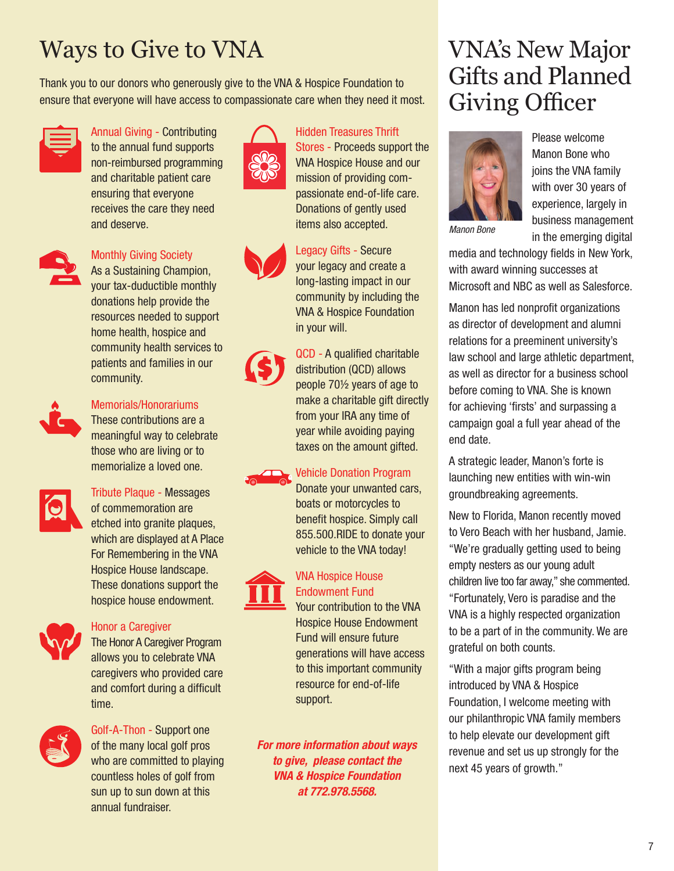## Ways to Give to VNA VNA's New Major

Thank you to our donors who generously give to the VNA & Hospice Foundation to ensure that everyone will have access to compassionate care when they need it most.



Annual Giving - Contributing to the annual fund supports non-reimbursed programming and charitable patient care ensuring that everyone receives the care they need and deserve.



#### Monthly Giving Society

As a Sustaining Champion, your tax-duductible monthly donations help provide the resources needed to support home health, hospice and community health services to patients and families in our community.



#### Memorials/Honorariums

These contributions are a meaningful way to celebrate those who are living or to memorialize a loved one.



#### Tribute Plaque - Messages of commemoration are etched into granite plaques, which are displayed at A Place For Remembering in the VNA Hospice House landscape. These donations support the hospice house endowment.



#### Honor a Caregiver

The Honor A Caregiver Program allows you to celebrate VNA caregivers who provided care and comfort during a difficult time.



Golf-A-Thon - Support one of the many local golf pros who are committed to playing countless holes of golf from sun up to sun down at this annual fundraiser.







QCD - A qualified charitable distribution (QCD) allows people 70½ years of age to make a charitable gift directly from your IRA any time of year while avoiding paying taxes on the amount gifted.

Hidden Treasures Thrift Stores - Proceeds support the VNA Hospice House and our mission of providing compassionate end-of-life care. Donations of gently used items also accepted.

Legacy Gifts - Secure your legacy and create a long-lasting impact in our community by including the VNA & Hospice Foundation

in your will.

#### Vehicle Donation Program

Donate your unwanted cars, boats or motorcycles to benefit hospice. Simply call 855.500.RIDE to donate your vehicle to the VNA today!

#### VNA Hospice House Endowment Fund

Your contribution to the VNA Hospice House Endowment Fund will ensure future generations will have access to this important community resource for end-of-life support.

**For more information about ways to give, please contact the VNA & Hospice Foundation at 772.978.5568.**

## Gifts and Planned Giving Officer



Please welcome Manon Bone who joins the VNA family with over 30 years of experience, largely in business management in the emerging digital

media and technology fields in New York, with award winning successes at Microsoft and NBC as well as Salesforce.

Manon has led nonprofit organizations as director of development and alumni relations for a preeminent university's law school and large athletic department, as well as director for a business school before coming to VNA. She is known for achieving 'firsts' and surpassing a campaign goal a full year ahead of the end date.

A strategic leader, Manon's forte is launching new entities with win-win groundbreaking agreements.

New to Florida, Manon recently moved to Vero Beach with her husband, Jamie. "We're gradually getting used to being empty nesters as our young adult children live too far away," she commented. "Fortunately, Vero is paradise and the VNA is a highly respected organization to be a part of in the community. We are grateful on both counts.

"With a major gifts program being introduced by VNA & Hospice Foundation, I welcome meeting with our philanthropic VNA family members to help elevate our development gift revenue and set us up strongly for the next 45 years of growth."